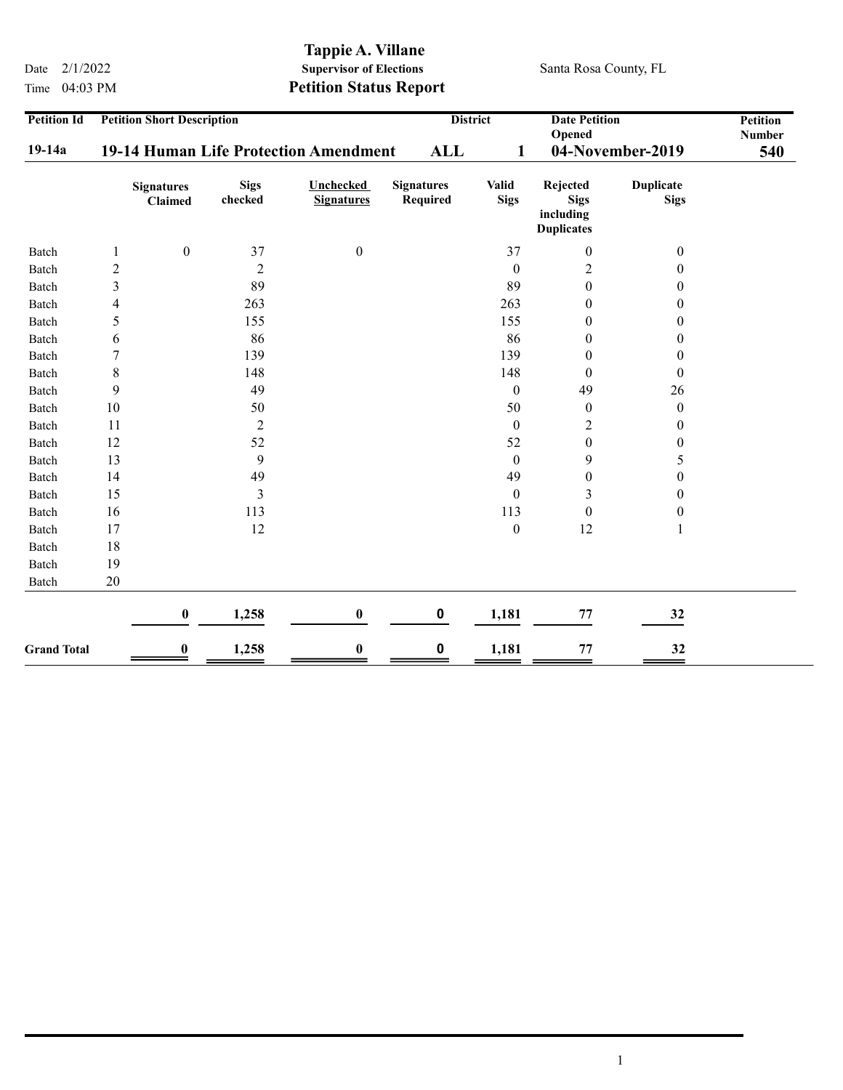Time 04:03 PM Petition Status Report

## Tappie A. Villane<br>Supervisor of Elections Date  $2/1/2022$  Supervisor of Elections Santa Rosa County, FL

| <b>Petition Id</b> | <b>Petition Short Description</b><br>19-14 Human Life Protection Amendment |                                     |                        |                                       | <b>District</b><br><b>Date Petition</b><br>Opened |                             | <b>Petition</b><br><b>Number</b><br>540                   |                                 |  |
|--------------------|----------------------------------------------------------------------------|-------------------------------------|------------------------|---------------------------------------|---------------------------------------------------|-----------------------------|-----------------------------------------------------------|---------------------------------|--|
| $19-14a$           |                                                                            |                                     |                        | <b>ALL</b><br>1                       |                                                   | 04-November-2019            |                                                           |                                 |  |
|                    |                                                                            | <b>Signatures</b><br><b>Claimed</b> | <b>Sigs</b><br>checked | <b>Unchecked</b><br><b>Signatures</b> | <b>Signatures</b><br>Required                     | <b>Valid</b><br><b>Sigs</b> | Rejected<br><b>Sigs</b><br>including<br><b>Duplicates</b> | <b>Duplicate</b><br><b>Sigs</b> |  |
| Batch              | 1                                                                          | $\boldsymbol{0}$                    | 37                     | $\boldsymbol{0}$                      |                                                   | 37                          | $\boldsymbol{0}$                                          | $\boldsymbol{0}$                |  |
| Batch              | $\overline{c}$                                                             |                                     | $\overline{2}$         |                                       |                                                   | $\theta$                    | $\overline{c}$                                            | 0                               |  |
| Batch              | 3                                                                          |                                     | 89                     |                                       |                                                   | 89                          | $\boldsymbol{0}$                                          | 0                               |  |
| Batch              | 4                                                                          |                                     | 263                    |                                       |                                                   | 263                         | $\boldsymbol{0}$                                          | $\boldsymbol{0}$                |  |
| Batch              | 5                                                                          |                                     | 155                    |                                       |                                                   | 155                         | $\boldsymbol{0}$                                          | $\boldsymbol{0}$                |  |
| Batch              | 6                                                                          |                                     | 86                     |                                       |                                                   | 86                          | $\boldsymbol{0}$                                          | $\boldsymbol{0}$                |  |
| Batch              | 7                                                                          |                                     | 139                    |                                       |                                                   | 139                         | $\boldsymbol{0}$                                          | $\boldsymbol{0}$                |  |
| Batch              | $\,$ 8 $\,$                                                                |                                     | 148                    |                                       |                                                   | 148                         | $\boldsymbol{0}$                                          | $\theta$                        |  |
| Batch              | 9                                                                          |                                     | 49                     |                                       |                                                   | $\theta$                    | 49                                                        | 26                              |  |
| Batch              | 10                                                                         |                                     | 50                     |                                       |                                                   | 50                          | $\boldsymbol{0}$                                          | $\boldsymbol{0}$                |  |
| Batch              | 11                                                                         |                                     | $\overline{2}$         |                                       |                                                   | $\mathbf{0}$                | 2                                                         | $\boldsymbol{0}$                |  |
| Batch              | 12                                                                         |                                     | 52                     |                                       |                                                   | 52                          | $\boldsymbol{0}$                                          | $\boldsymbol{0}$                |  |
| Batch              | 13                                                                         |                                     | 9                      |                                       |                                                   | $\mathbf{0}$                | 9                                                         | 5                               |  |
| Batch              | 14                                                                         |                                     | 49                     |                                       |                                                   | 49                          | $\boldsymbol{0}$                                          | $\boldsymbol{0}$                |  |
| Batch              | 15                                                                         |                                     | $\mathfrak{Z}$         |                                       |                                                   | $\boldsymbol{0}$            | 3                                                         | $\boldsymbol{0}$                |  |
| Batch              | 16                                                                         |                                     | 113                    |                                       |                                                   | 113                         | $\boldsymbol{0}$                                          | 0                               |  |
| Batch              | 17                                                                         |                                     | 12                     |                                       |                                                   | $\boldsymbol{0}$            | 12                                                        | 1                               |  |
| Batch              | 18                                                                         |                                     |                        |                                       |                                                   |                             |                                                           |                                 |  |
| Batch              | 19                                                                         |                                     |                        |                                       |                                                   |                             |                                                           |                                 |  |
| Batch              | 20                                                                         |                                     |                        |                                       |                                                   |                             |                                                           |                                 |  |
|                    |                                                                            | $\pmb{0}$                           | 1,258                  | $\bf{0}$                              | $\pmb{0}$                                         | 1,181                       | 77                                                        | 32                              |  |
| <b>Grand Total</b> |                                                                            | $\bf{0}$                            | 1,258                  | $\bf{0}$                              | 0                                                 | 1,181                       | 77                                                        | 32                              |  |